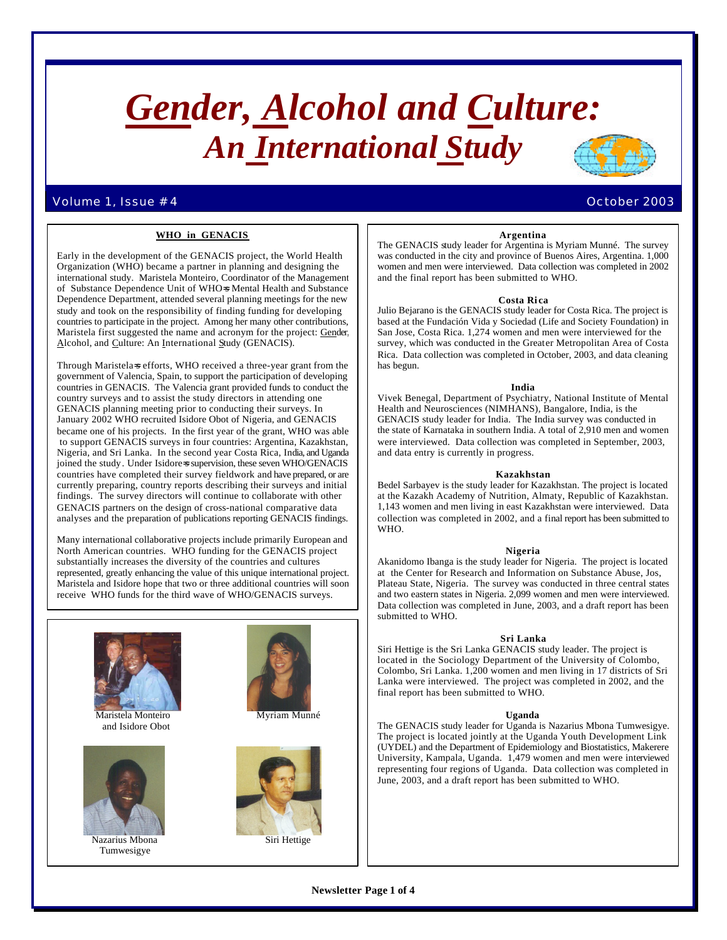# *Gender, Alcohol and Culture: An International Study*

# Volume 1, Issue # 4 October 2003

# **WHO in GENACIS**

Early in the development of the GENACIS project, the World Health Organization (WHO) became a partner in planning and designing the international study. Maristela Monteiro, Coordinator of the Management of Substance Dependence Unit of WHO=s Mental Health and Substance Dependence Department, attended several planning meetings for the new study and took on the responsibility of finding funding for developing countries to participate in the project. Among her many other contributions, Maristela first suggested the name and acronym for the project: Gender, Alcohol, and Culture: An International Study (GENACIS).

Through Maristela=s efforts, WHO received a three-year grant from the government of Valencia, Spain, to support the participation of developing countries in GENACIS. The Valencia grant provided funds to conduct the country surveys and to assist the study directors in attending one GENACIS planning meeting prior to conducting their surveys. In January 2002 WHO recruited Isidore Obot of Nigeria, and GENACIS became one of his projects. In the first year of the grant, WHO was able to support GENACIS surveys in four countries: Argentina, Kazakhstan, Nigeria, and Sri Lanka. In the second year Costa Rica, India, and Uganda joined the study. Under Isidore=s supervision, these seven WHO/GENACIS countries have completed their survey fieldwork and have prepared, or are currently preparing, country reports describing their surveys and initial findings. The survey directors will continue to collaborate with other GENACIS partners on the design of cross-national comparative data analyses and the preparation of publications reporting GENACIS findings.

Many international collaborative projects include primarily European and North American countries. WHO funding for the GENACIS project substantially increases the diversity of the countries and cultures represented, greatly enhancing the value of this unique international project. Maristela and Isidore hope that two or three additional countries will soon receive WHO funds for the third wave of WHO/GENACIS surveys.



# **Argentina**

The GENACIS study leader for Argentina is Myriam Munné. The survey was conducted in the city and province of Buenos Aires, Argentina. 1,000 women and men were interviewed. Data collection was completed in 2002 and the final report has been submitted to WHO.

#### **Costa Ri ca**

Julio Bejarano is the GENACIS study leader for Costa Rica. The project is based at the Fundación Vida y Sociedad (Life and Society Foundation) in San Jose, Costa Rica. 1,274 women and men were interviewed for the survey, which was conducted in the Greater Metropolitan Area of Costa Rica. Data collection was completed in October, 2003, and data cleaning has begun.

#### **India**

Vivek Benegal, Department of Psychiatry, National Institute of Mental Health and Neurosciences (NIMHANS), Bangalore, India, is the GENACIS study leader for India. The India survey was conducted in the state of Karnataka in southern India. A total of 2,910 men and women were interviewed. Data collection was completed in September, 2003, and data entry is currently in progress.

#### **Kazakhstan**

Bedel Sarbayev is the study leader for Kazakhstan. The project is located at the Kazakh Academy of Nutrition, Almaty, Republic of Kazakhstan. 1,143 women and men living in east Kazakhstan were interviewed. Data collection was completed in 2002, and a final report has been submitted to WHO.

#### **Nigeria**

Akanidomo Ibanga is the study leader for Nigeria. The project is located at the Center for Research and Information on Substance Abuse, Jos, Plateau State, Nigeria. The survey was conducted in three central states and two eastern states in Nigeria. 2,099 women and men were interviewed. Data collection was completed in June, 2003, and a draft report has been submitted to WHO.

#### **Sri Lanka**

Siri Hettige is the Sri Lanka GENACIS study leader. The project is located in the Sociology Department of the University of Colombo, Colombo, Sri Lanka. 1,200 women and men living in 17 districts of Sri Lanka were interviewed. The project was completed in 2002, and the final report has been submitted to WHO.

#### **Uganda**

The GENACIS study leader for Uganda is Nazarius Mbona Tumwesigye. The project is located jointly at the Uganda Youth Development Link (UYDEL) and the Department of Epidemiology and Biostatistics, Makerere University, Kampala, Uganda. 1,479 women and men were interviewed representing four regions of Uganda. Data collection was completed in June, 2003, and a draft report has been submitted to WHO.

**Newsletter Page 1 of 4**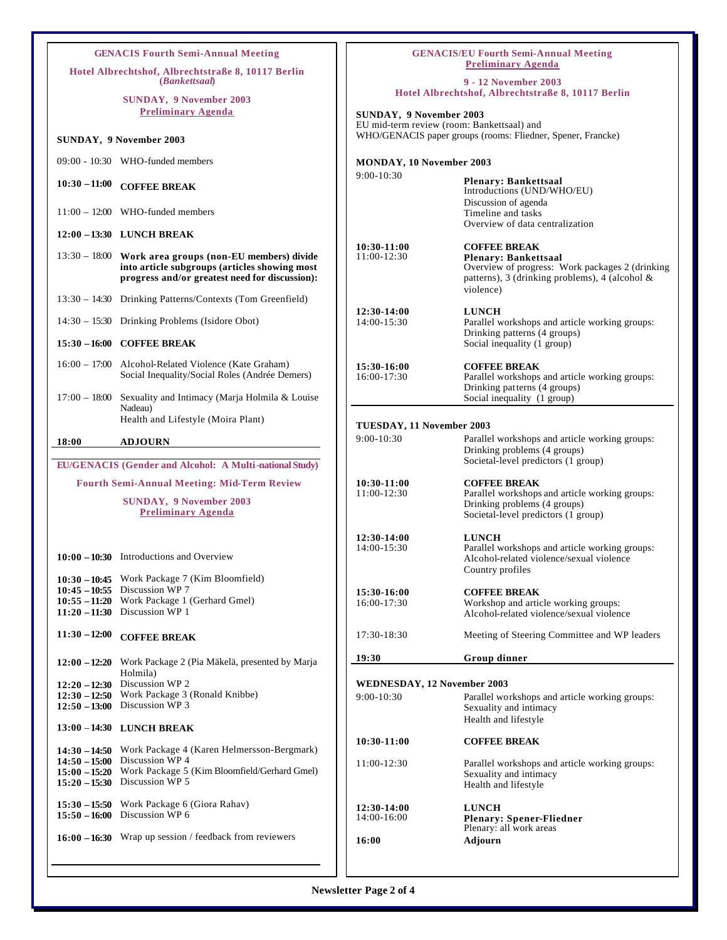| <b>GENACIS Fourth Semi-Annual Meeting</b>                                  |                                                                                                                                                                                          | <b>GENACIS/EU Fourth Semi-Annual Meeting</b><br><b>Preliminary Agenda</b> |                                                                                                                                                                      |
|----------------------------------------------------------------------------|------------------------------------------------------------------------------------------------------------------------------------------------------------------------------------------|---------------------------------------------------------------------------|----------------------------------------------------------------------------------------------------------------------------------------------------------------------|
| Hotel Albrechtshof, Albrechtstraße 8, 10117 Berlin<br><i>(Bankettsaal)</i> |                                                                                                                                                                                          | 9 - 12 November 2003                                                      |                                                                                                                                                                      |
| <b>SUNDAY, 9 November 2003</b>                                             |                                                                                                                                                                                          | Hotel Albrechtshof, Albrechtstraße 8, 10117 Berlin                        |                                                                                                                                                                      |
| <b>Preliminary Agenda</b>                                                  |                                                                                                                                                                                          | SUNDAY, 9 November 2003<br>EU mid-term review (room: Bankettsaal) and     |                                                                                                                                                                      |
| <b>SUNDAY, 9 November 2003</b>                                             |                                                                                                                                                                                          |                                                                           | WHO/GENACIS paper groups (rooms: Fliedner, Spener, Francke)                                                                                                          |
|                                                                            | 09:00 - 10:30 WHO-funded members                                                                                                                                                         | MONDAY, 10 November 2003<br>$9:00-10:30$                                  |                                                                                                                                                                      |
| $10:30 - 11:00$                                                            | <b>COFFEE BREAK</b>                                                                                                                                                                      |                                                                           | <b>Plenary: Bankettsaal</b><br>Introductions (UND/WHO/EU)                                                                                                            |
|                                                                            | $11:00 - 12:00$ WHO-funded members                                                                                                                                                       |                                                                           | Discussion of agenda<br>Timeline and tasks<br>Overview of data centralization                                                                                        |
|                                                                            | 12:00 - 13:30 LUNCH BREAK                                                                                                                                                                |                                                                           |                                                                                                                                                                      |
|                                                                            | 13:30 - 18:00 Work area groups (non-EU members) divide<br>into article subgroups (articles showing most<br>progress and/or greatest need for discussion):                                | $10:30-11:00$<br>11:00-12:30                                              | <b>COFFEE BREAK</b><br><b>Plenary: Bankettsaal</b><br>Overview of progress: Work packages 2 (drinking<br>patterns), 3 (drinking problems), 4 (alcohol &<br>violence) |
|                                                                            | 13:30 - 14:30 Drinking Patterns/Contexts (Tom Greenfield)                                                                                                                                |                                                                           |                                                                                                                                                                      |
|                                                                            | 14:30 - 15:30 Drinking Problems (Isidore Obot)                                                                                                                                           | 12:30-14:00<br>14:00-15:30                                                | <b>LUNCH</b><br>Parallel workshops and article working groups:<br>Drinking patterns (4 groups)                                                                       |
|                                                                            | 15:30 - 16:00 COFFEE BREAK                                                                                                                                                               |                                                                           | Social inequality (1 group)                                                                                                                                          |
|                                                                            | 16:00 - 17:00 Alcohol-Related Violence (Kate Graham)<br>Social Inequality/Social Roles (Andrée Demers)                                                                                   | 15:30-16:00<br>16:00-17:30                                                | <b>COFFEE BREAK</b><br>Parallel workshops and article working groups:<br>Drinking patterns (4 groups)                                                                |
| $17:00 - 18:00$                                                            | Sexuality and Intimacy (Marja Holmila & Louise<br>Nadeau)                                                                                                                                |                                                                           | Social inequality (1 group)                                                                                                                                          |
|                                                                            | Health and Lifestyle (Moira Plant)                                                                                                                                                       | TUESDAY, 11 November 2003                                                 |                                                                                                                                                                      |
| 18:00                                                                      | <b>ADJOURN</b>                                                                                                                                                                           | $9:00-10:30$                                                              | Parallel workshops and article working groups:<br>Drinking problems (4 groups)                                                                                       |
| EU/GENACIS (Gender and Alcohol: A Multi-national Study)                    |                                                                                                                                                                                          |                                                                           | Societal-level predictors (1 group)                                                                                                                                  |
| <b>Fourth Semi-Annual Meeting: Mid-Term Review</b>                         |                                                                                                                                                                                          | $10:30-11:00$                                                             | <b>COFFEE BREAK</b>                                                                                                                                                  |
|                                                                            | <b>SUNDAY, 9 November 2003</b><br><b>Preliminary Agenda</b>                                                                                                                              | 11:00-12:30                                                               | Parallel workshops and article working groups:<br>Drinking problems (4 groups)<br>Societal-level predictors (1 group)                                                |
|                                                                            | 10:00 - 10:30 Introductions and Overview<br>10:30 - 10:45 Work Package 7 (Kim Bloomfield)                                                                                                | 12:30-14:00<br>14:00-15:30                                                | <b>LUNCH</b><br>Parallel workshops and article working groups:<br>Alcohol-related violence/sexual violence<br>Country profiles                                       |
|                                                                            | 10:45 - 10:55 Discussion WP 7<br>10:55 - 11:20 Work Package 1 (Gerhard Gmel)<br>11:20 $-11:30$ Discussion WP 1                                                                           | 15:30-16:00<br>16:00-17:30                                                | <b>COFFEE BREAK</b><br>Workshop and article working groups:<br>Alcohol-related violence/sexual violence                                                              |
| $11:30 - 12:00$                                                            | <b>COFFEE BREAK</b>                                                                                                                                                                      | 17:30-18:30                                                               | Meeting of Steering Committee and WP leaders                                                                                                                         |
|                                                                            | 12:00 - 12:20 Work Package 2 (Pia Mäkelä, presented by Marja                                                                                                                             | 19:30                                                                     | Group dinner                                                                                                                                                         |
|                                                                            | Holmila)<br>12:20 $-12:30$ Discussion WP 2<br>WEDNESDAY, 12 November 2003                                                                                                                |                                                                           |                                                                                                                                                                      |
|                                                                            | $12:30 - 12:50$ Work Package 3 (Ronald Knibbe)<br>$12:50 - 13:00$ Discussion WP 3                                                                                                        | 9:00-10:30                                                                | Parallel workshops and article working groups:<br>Sexuality and intimacy                                                                                             |
|                                                                            | 13:00 - 14:30 LUNCH BREAK                                                                                                                                                                |                                                                           | Health and lifestyle                                                                                                                                                 |
|                                                                            |                                                                                                                                                                                          | 10:30-11:00                                                               | <b>COFFEE BREAK</b>                                                                                                                                                  |
|                                                                            | 14:30 - 14:50 Work Package 4 (Karen Helmersson-Bergmark)<br>14:50 - 15:00 Discussion WP 4<br>15:00 - 15:20 Work Package 5 (Kim Bloomfield/Gerhard Gmel)<br>15:20 - 15:30 Discussion WP 5 | 11:00-12:30                                                               | Parallel workshops and article working groups:<br>Sexuality and intimacy<br>Health and lifestyle                                                                     |
|                                                                            | 15:30 - 15:50 Work Package 6 (Giora Rahav)<br>15:50 $-16:00$ Discussion WP 6                                                                                                             | 12:30-14:00<br>14:00-16:00                                                | <b>LUNCH</b><br><b>Plenary: Spener-Fliedner</b><br>Plenary: all work areas                                                                                           |
|                                                                            | $16:00 - 16:30$ Wrap up session / feedback from reviewers                                                                                                                                | 16:00                                                                     | Adjourn                                                                                                                                                              |
|                                                                            |                                                                                                                                                                                          |                                                                           |                                                                                                                                                                      |
|                                                                            |                                                                                                                                                                                          |                                                                           |                                                                                                                                                                      |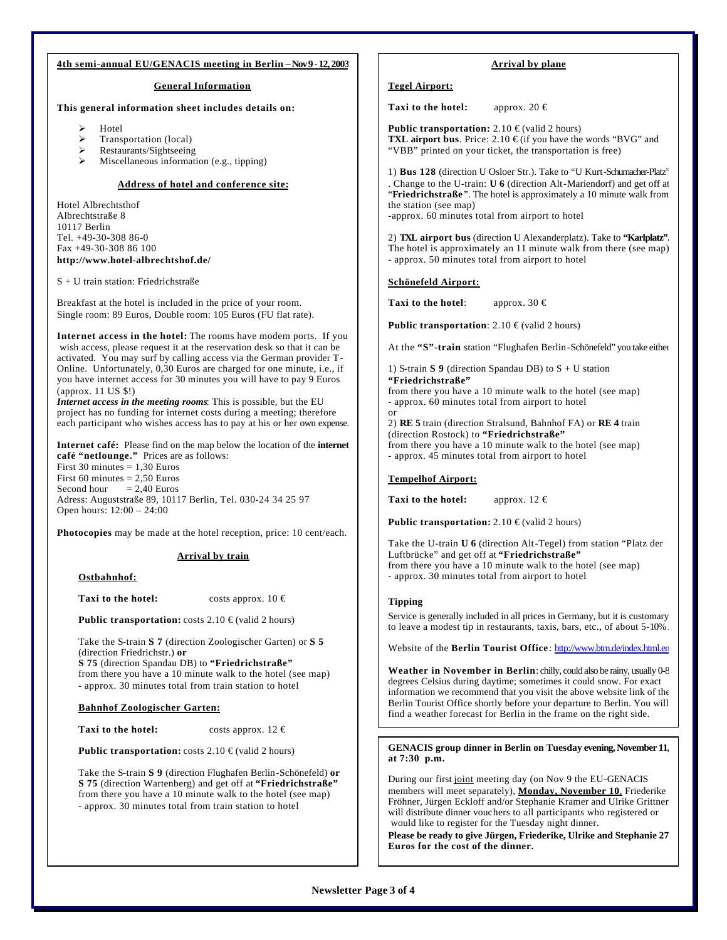# **4th semi-annual EU/GENACIS meeting in Berlin – Nov 9 - 12, 2003**

# **General Information**

# **This general information sheet includes details on:**

- **Hotel**
- ÿ Transportation (local)
- ÿ Restaurants/Sightseeing
- ÿ Miscellaneous information (e.g., tipping)

# **Address of hotel and conference site:**

Hotel Albrechtsthof Albrechtstraße 8 10117 Berlin Tel. +49-30-308 86-0 Fax +49-30-308 86 100 **http://www.hotel-albrechtshof.de/**

S + U train station: Friedrichstraße

Breakfast at the hotel is included in the price of your room. Single room: 89 Euros, Double room: 105 Euros (FU flat rate).

**Internet access in the hotel:** The rooms have modem ports. If you wish access, please request it at the reservation desk so that it can be activated. You may surf by calling access via the German provider T-Online. Unfortunately, 0,30 Euros are charged for one minute, i.e., if you have internet access for 30 minutes you will have to pay 9 Euros (approx. 11 US \$!)

*Internet access in the meeting rooms*: This is possible, but the EU project has no funding for internet costs during a meeting; therefore each participant who wishes access has to pay at his or her own expense.

**Internet café:** Please find on the map below the location of the **internet café "netlounge."** Prices are as follows: First 30 minutes  $= 1,30$  Euros First 60 minutes =  $2,50$  Euros<br>Second hour =  $2,40$  Euros  $= 2.40$  Euros Adress: Auguststraße 89, 10117 Berlin, Tel. 030-24 34 25 97 Open hours: 12:00 – 24:00

**Photocopies** may be made at the hotel reception, price: 10 cent/each.

# **Arrival by train**

**Ostbahnhof:**

**Taxi to the hotel:** costs approx.  $10 \in$ 

**Public transportation:** costs 2.10 € (valid 2 hours)

Take the S-train **S 7** (direction Zoologischer Garten) or **S 5** (direction Friedrichstr.) **or** 

**S 75** (direction Spandau DB) to **"Friedrichstraße"** from there you have a 10 minute walk to the hotel (see map) - approx. 30 minutes total from train station to hotel

# **Bahnhof Zoologischer Garten:**

**Taxi to the hotel:** costs approx.  $12 \in$ 

**Public transportation:** costs 2.10 € (valid 2 hours)

Take the S-train **S 9** (direction Flughafen Berlin-Schönefeld) **or S 75** (direction Wartenberg) and get off at **"Friedrichstraße"** from there you have a 10 minute walk to the hotel (see map) - approx. 30 minutes total from train station to hotel

# **Arrival by plane**

# **Tegel Airport:**

**Taxi to the hotel:** approx. 20  $\in$ 

**Public transportation:**  $2.10 \text{ } \in \text{(valid 2 hours)}$ **TXL airport bus**. Price: 2.10 € (if you have the words "BVG" and "VBB" printed on your ticket, the transportation is free)

1) **Bus 128** (direction U Osloer Str.). Take to "U Kurt-Schumacher-Platz" . Change to the U-train: **U 6** (direction Alt-Mariendorf) and get off at "**Friedrichstraße** ". The hotel is approximately a 10 minute walk from the station (see map) -approx. 60 minutes total from airport to hotel

2) **TXL airport bus** (direction U Alexanderplatz). Take to **"Karlplatz".**  The hotel is approximately an 11 minute walk from there (see map) - approx. 50 minutes total from airport to hotel

#### **Schönefeld Airport:**

**Taxi to the hotel:** approx. 30  $\epsilon$ 

**Public transportation**: 2.10 € (valid 2 hours)

At the **"S"-train** station "Flughafen Berlin-Schönefeld" you take either

1) S-train **S 9** (direction Spandau DB) to S + U station **"Friedrichstraße"** from there you have a 10 minute walk to the hotel (see map) - approx. 60 minutes total from airport to hotel or

2) **RE 5** train (direction Stralsund, Bahnhof FA) or **RE 4** train (direction Rostock) to **"Friedrichstraße"** from there you have a 10 minute walk to the hotel (see map) - approx. 45 minutes total from airport to hotel

#### **Tempelhof Airport:**

**Taxi to the hotel:** approx.  $12 \in$ 

**Public transportation:** 2.10 € (valid 2 hours)

Take the U-train **U 6** (direction Alt-Tegel) from station "Platz der Luftbrücke" and get off at **"Friedrichstraße"** from there you have a 10 minute walk to the hotel (see map) - approx. 30 minutes total from airport to hotel

#### **Tipping**

Service is generally included in all prices in Germany, but it is customary to leave a modest tip in restaurants, taxis, bars, etc., of about 5-10% .

Website of the **Berlin Tourist Office** : http://www.btm.de/index.html.en

**Weather in November in Berlin**: chilly, could also be rainy, usually 0-8 degrees Celsius during daytime; sometimes it could snow. For exact information we recommend that you visit the above website link of the Berlin Tourist Office shortly before your departure to Berlin. You will find a weather forecast for Berlin in the frame on the right side.

#### **GENACIS group dinner in Berlin on Tuesday evening, November 11, at 7:30 p.m.**

During our first joint meeting day (on Nov 9 the EU-GENACIS members will meet separately), **Monday, November 10**, Friederike Fröhner, Jürgen Eckloff and/or Stephanie Kramer and Ulrike Grittner will distribute dinner vouchers to all participants who registered or would like to register for the Tuesday night dinner.

**Please be ready to give Jürgen, Friederike, Ulrike and Stephanie 27 Euros for the cost of the dinner.**

# **Newsletter Page 3 of 4**